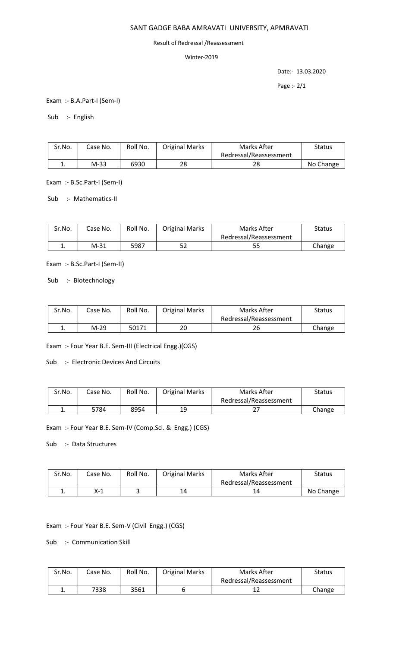## SANT GADGE BABA AMRAVATI UNIVERSITY, APMRAVATI

## Result of Redressal /Reassessment

## Winter-2019

Date:- 13.03.2020

Page :- 2/1

Exam :- B.A.Part-I (Sem-I)

Sub :- English

| Sr.No. | Case No. | Roll No. | <b>Original Marks</b> | Marks After            | <b>Status</b> |
|--------|----------|----------|-----------------------|------------------------|---------------|
|        |          |          |                       | Redressal/Reassessment |               |
|        | M-33     | 6930     | 28                    | 28                     | No Change     |

Exam :- B.Sc.Part-I (Sem-I)

Sub :- Mathematics-II

| Sr.No. | Case No. | Roll No. | <b>Original Marks</b> | Marks After            | <b>Status</b> |
|--------|----------|----------|-----------------------|------------------------|---------------|
|        |          |          |                       | Redressal/Reassessment |               |
| . .    | $M-31$   | 5987     | 52                    | 55                     | Change        |

Exam :- B.Sc.Part-I (Sem-II)

Sub :- Biotechnology

| Sr.No. | Case No. | Roll No. | <b>Original Marks</b> | Marks After            | <b>Status</b> |
|--------|----------|----------|-----------------------|------------------------|---------------|
|        |          |          |                       | Redressal/Reassessment |               |
|        | $M-29$   | 50171    | 20                    | 26                     | Change        |

Exam :- Four Year B.E. Sem-III (Electrical Engg.)(CGS)

Sub :- Electronic Devices And Circuits

| Sr.No.   | Case No. | Roll No. | <b>Original Marks</b> | Marks After            | Status |
|----------|----------|----------|-----------------------|------------------------|--------|
|          |          |          |                       | Redressal/Reassessment |        |
| <b>.</b> | 5784     | 8954     | 19                    | <u>L</u>               | Change |

Exam :- Four Year B.E. Sem-IV (Comp.Sci. & Engg.) (CGS)

Sub :- Data Structures

| Sr.No. | Case No. | Roll No. | <b>Original Marks</b> | Marks After            | <b>Status</b> |
|--------|----------|----------|-----------------------|------------------------|---------------|
|        |          |          |                       | Redressal/Reassessment |               |
| ∸.     | X-1      |          | 14                    | 14                     | No Change     |

Exam :- Four Year B.E. Sem-V (Civil Engg.) (CGS)

Sub :- Communication Skill

| Sr.No. | Case No. | Roll No. | <b>Original Marks</b> | Marks After            | Status |
|--------|----------|----------|-----------------------|------------------------|--------|
|        |          |          |                       | Redressal/Reassessment |        |
| ٠.     | 7338     | 3561     |                       |                        | Change |